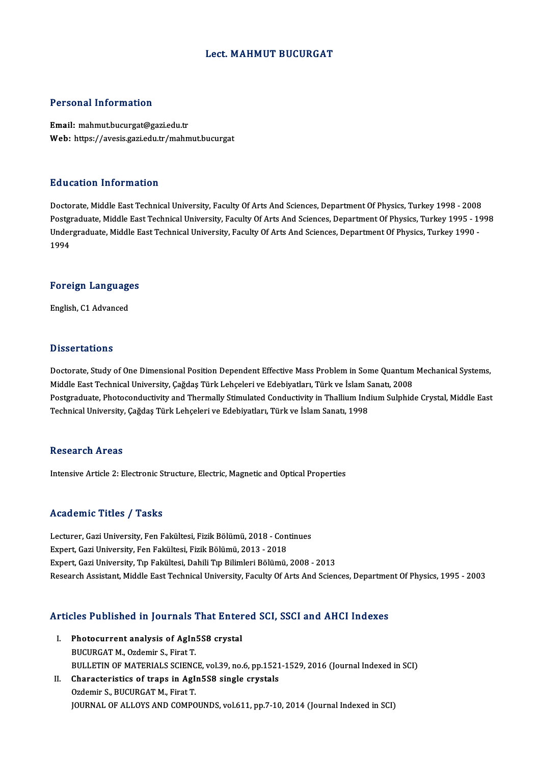#### Lect.MAHMUT BUCURGAT

#### Personal Information

Email: mahmut.bucurgat@gazi.edu.tr Web: https://avesis.gazi.edu.tr/mahmut.bucurgat

#### Education Information

Doctorate, Middle East Technical University, Faculty Of Arts And Sciences, Department Of Physics, Turkey 1998 - 2008 Postgraduate, Middle East Technical University, Faculty Of Arts And Sciences, Department Of Physics, Turkey 1995 - 1998 Doctorate, Middle East Technical University, Faculty Of Arts And Sciences, Department Of Physics, Turkey 1998 - 2008<br>Postgraduate, Middle East Technical University, Faculty Of Arts And Sciences, Department Of Physics, Turk Postgi<br>Under<br>1994

## 1<sup>994</sup><br>Foreign Languages <mark>Foreign Languag</mark>e<br>English, C1 Advanced

English, C1 Advanced<br>Dissertations

Dissertations<br>Doctorate, Study of One Dimensional Position Dependent Effective Mass Problem in Some Quantum Mechanical Systems,<br>Middle Fest Technical University, Cağdas Türk Lebseleri ve Edebiyatları, Türk ve İslam Sanatı, Dissest catrems<br>Doctorate, Study of One Dimensional Position Dependent Effective Mass Problem in Some Quantum<br>Middle East Technical University, Çağdaş Türk Lehçeleri ve Edebiyatları, Türk ve İslam Sanatı, 2008<br>Postsraduata Middle East Technical University, Çağdaş Türk Lehçeleri ve Edebiyatları, Türk ve İslam Sanatı, 2008<br>Postgraduate, Photoconductivity and Thermally Stimulated Conductivity in Thallium Indium Sulphide Crystal, Middle East Technical University, Çağdaş Türk Lehçeleri ve Edebiyatları, Türk ve İslam Sanatı, 1998

#### **Research Areas**

Intensive Article 2: Electronic Structure, Electric, Magnetic and Optical Properties

#### Academic Titles / Tasks

Lecturer, Gazi University, Fen Fakültesi, Fizik Bölümü, 2018 - Continues Expert, Gazi University, Fen Fakültesi, Fizik Bölümü, 2013 - 2018 Expert, Gazi University, Tıp Fakültesi, Dahili Tıp Bilimleri Bölümü, 2008 - 2013 Research Assistant, Middle East Technical University, Faculty Of Arts And Sciences, Department Of Physics, 1995 - 2003

# Research Assistant, Middle East Technical University, Faculty Of Arts And Sciences, Department<br>Articles Published in Journals That Entered SCI, SSCI and AHCI Indexes

- Tricles Published in Journals That Enter<br>I. Photocurrent analysis of AgIn5S8 crystal<br>PUCURCATM OrdominS, Finat T Photocurrent analysis of AgIn5S8 crystal<br>BUCURGAT M., Ozdemir S., Firat T. BULLETIN OF MATERIALS SCIENCE, vol.39, no.6, pp.1521-1529, 2016 (Journal Indexed in SCI) BUCURGAT M., Ozdemir S., Firat T.<br>BULLETIN OF MATERIALS SCIENCE, vol.39, no.6, pp.1521<br>II. Characteristics of traps in AgIn5S8 single crystals<br>Ordomin S. BUCURCAT M. First T.
	- BULLETIN OF MATERIALS SCIENC<br>Characteristics of traps in AgI:<br>Ozdemir S., BUCURGAT M., Firat T.<br>JOUPNAL OF ALLOVS AND COMPO Ozdemir S., BUCURGAT M., Firat T.<br>JOURNAL OF ALLOYS AND COMPOUNDS, vol.611, pp.7-10, 2014 (Journal Indexed in SCI)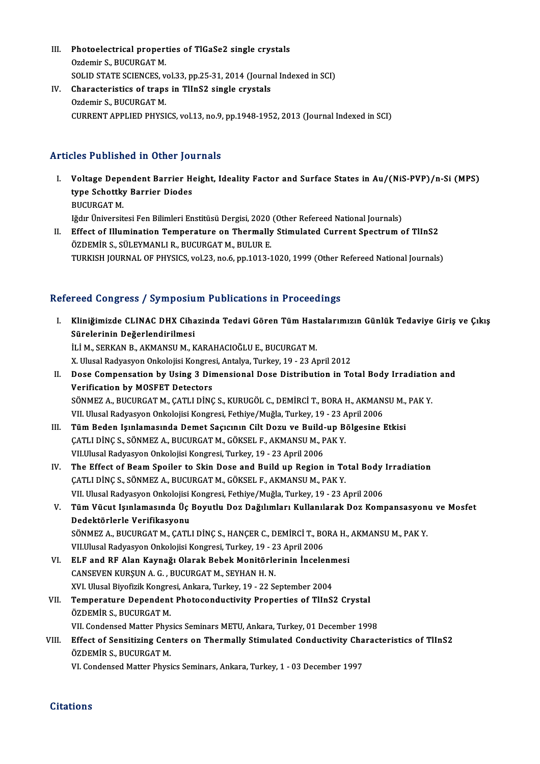- III. Photoelectrical properties of TlGaSe2 single crystals<br>Ordamin S. PUCURCAT M Photoelectrical propert<br>Ozdemir S., BUCURGAT M.<br>SOLID STATE SCIENCES ... Photoelectrical properties of TlGaSe2 single crystals<br>Ozdemir S., BUCURGAT M.<br>SOLID STATE SCIENCES, vol.33, pp.25-31, 2014 (Journal Indexed in SCI)<br>Shanasteristics of trans in TlInS2 single spustals. Ozdemir S., BUCURGAT M.<br>SOLID STATE SCIENCES, vol.33, pp.25-31, 2014 (Journa<br>IV. Characteristics of traps in TIInS2 single crystals<br>Ozdemir S., BUCURGAT M.
- SOLID STATE SCIENCES, v<br>Characteristics of traps<br>Ozdemir S., BUCURGAT M.<br>CURRENT APPLIED PHYSI CURRENT APPLIED PHYSICS, vol.13, no.9, pp.1948-1952, 2013 (Journal Indexed in SCI)

### Articles Published in Other Journals

- rticles Published in Other Journals<br>I. Voltage Dependent Barrier Height, Ideality Factor and Surface States in Au/(NiS-PVP)/n-Si (MPS)<br>time Schottly: Parrier Diades Yoltage Dependent Barrier Hetppe Schottky Barrier Diodes<br>EUCUPCATM Voltage Depe<br>type Schottky<br>BUCURGAT M.<br><sup>Lědur Üniversit</sub></sup> type Schottky Barrier Diodes<br>BUCURGAT M.<br>Iğdır Üniversitesi Fen Bilimleri Enstitüsü Dergisi, 2020 (Other Refereed National Journals)
- II. Effect of Illumination Temperature on Thermally Stimulated Current Spectrum of TlInS2 ÖZDEMİR S., SÜLEYMANLI R., BUCURGAT M., BULUR E. TURKISH JOURNAL OF PHYSICS, vol.23, no.6, pp.1013-1020, 1999 (Other Refereed National Journals)

### Refereed Congress / Symposium Publications in Proceedings

efereed Congress / Symposium Publications in Proceedings<br>I. Kliniğimizde CLINAC DHX Cihazinda Tedavi Gören Tüm Hastalarımızın Günlük Tedaviye Giriş ve Çıkış<br>Sünelerinin Değerlendirilmesi Sürelerinin Değerlendirilmesi<br>Sürelerinin Değerlendirilmesi<br>İLİM SERKAN RAKMANSUM K Sürelerinin Değerlendirilmesi<br>İLİ M., SERKAN B., AKMANSU M., KARAHACIOĞLU E., BUCURGAT M. Sürelerinin Değerlendirilmesi<br>İLİ M., SERKAN B., AKMANSU M., KARAHACIOĞLU E., BUCURGAT M.<br>X. Ulusal Radyasyon Onkolojisi Kongresi, Antalya, Turkey, 19 - 23 April 2012<br>Dese Compensation by Heing 3 Dimensional Dese Distribut II. Dose Compensation by Using 3 Dimensional Dose Distribution in Total Body Irradiation and<br>Verification by MOSFET Detectors X. Ulusal Radyasyon Onkolojisi Kongres<br>Dose Compensation by Using 3 Dir<br>Verification by MOSFET Detectors<br>SÖNMEZ A. BUCURSAT M. CATH DING Dose Compensation by Using 3 Dimensional Dose Distribution in Total Body Irradiation<br>Verification by MOSFET Detectors<br>SÖNMEZ A., BUCURGAT M., ÇATLI DİNÇ S., KURUGÖL C., DEMİRCİ T., BORA H., AKMANSU M., PAK Y.<br>VIL Illusal B Verification by MOSFET Detectors<br>SÖNMEZ A., BUCURGAT M., ÇATLI DİNÇ S., KURUGÖL C., DEMİRCİ T., BORA H., AKMAN<br>VII. Ulusal Radyasyon Onkolojisi Kongresi, Fethiye/Muğla, Turkey, 19 - 23 April 2006<br>Tüm Badan Jamlamasında Dam VII. Ulusal Radyasyon Onkolojisi Kongresi, Fethiye/Muğla, Turkey, 19 - 23 April 2006<br>III. Tüm Beden Işınlamasında Demet Saçıcının Cilt Dozu ve Build-up Bölgesine Etkisi VII. Ulusal Radyasyon Onkolojisi Kongresi, Fethiye/Muğla, Turkey, 19 - 23 A<br>Tüm Beden Işınlamasında Demet Saçıcının Cilt Dozu ve Build-up B<br>ÇATLI DİNÇ S., SÖNMEZ A., BUCURGAT M., GÖKSEL F., AKMANSU M., PAK Y.<br>VII Ulusal Ba Tüm Beden Işınlamasında Demet Saçıcının Cilt Dozu ve Build<br>ÇATLI DİNÇ S., SÖNMEZ A., BUCURGAT M., GÖKSEL F., AKMANSU M., P<br>VII.Ulusal Radyasyon Onkolojisi Kongresi, Turkey, 19 - 23 April 2006<br>The Effect of Beam Spoiler to CATLI DINC S., SÖNMEZ A., BUCURGAT M., GÖKSEL F., AKMANSU M., PAK Y.<br>VII.Ulusal Radyasyon Onkolojisi Kongresi, Turkey, 19 - 23 April 2006<br>IV. The Effect of Beam Spoiler to Skin Dose and Build up Region in Total Body Irradi VII.Ulusal Radyasyon Onkolojisi Kongresi, Turkey, 19 - 23 April 2006<br>The Effect of Beam Spoiler to Skin Dose and Build up Region in Total Body<br>ÇATLI DİNÇ S., SÖNMEZ A., BUCURGAT M., GÖKSEL F., AKMANSU M., PAK Y.<br>VII. Ulusa The Effect of Beam Spoiler to Skin Dose and Build up Region in Total Body<br>ÇATLI DİNÇ S., SÖNMEZ A., BUCURGAT M., GÖKSEL F., AKMANSU M., PAK Y.<br>VII. Ulusal Radyasyon Onkolojisi Kongresi, Fethiye/Muğla, Turkey, 19 - 23 April ÇATLI DİNÇ S., SÖNMEZ A., BUCURGAT M., GÖKSEL F., AKMANSU M., PAK Y.<br>VII. Ulusal Radyasyon Onkolojisi Kongresi, Fethiye/Muğla, Turkey, 19 - 23 April 2006<br>V. Tüm Vücut Işınlamasında Üç Boyutlu Doz Dağılımları Kullanılar VII. Ulusal Radyasyon Onkolojisi<br>Tüm Vücut Işınlamasında Üç<br>Dedektörlerle Verifikasyonu<br>SÖNMEZ A BUCURCATM CATI Tüm Vücut Işınlamasında Üç Boyutlu Doz Dağılımları Kullanılarak Doz Kompansasyon<br>Dedektörlerle Verifikasyonu<br>SÖNMEZ A., BUCURGAT M., ÇATLI DİNÇ S., HANÇER C., DEMİRCİ T., BORA H., AKMANSU M., PAK Y.<br>VILIllusal Badyasyon On Dedektörlerle Verifikasyonu<br>SÖNMEZ A., BUCURGAT M., ÇATLI DİNÇ S., HANÇER C., DEMİRCİ T., BORA H., AKMANSU M., PAK Y.<br>VII.Ulusal Radyasyon Onkolojisi Kongresi, Turkey, 19 - 23 April 2006 SÖNMEZ A., BUCURGAT M., ÇATLI DİNÇ S., HANÇER C., DEMİRCİ T., BORA H.,<br>VII.Ulusal Radyasyon Onkolojisi Kongresi, Turkey, 19 - 23 April 2006<br>VI. ELF and RF Alan Kaynağı Olarak Bebek Monitörlerinin İncelenmesi<br>CANSEVEN KURSU VII.Ulusal Radyasyon Onkolojisi Kongresi, Turkey, 19 - 2<br>ELF and RF Alan Kaynağı Olarak Bebek Monitörle<br>CANSEVEN KURŞUN A. G. , BUCURGAT M., SEYHAN H. N.<br>XVI Ulusal Biyofirik Kongresi, Ankara, Turkey, 19 - 22 S. ELF and RF Alan Kaynağı Olarak Bebek Monitörlerinin İncelenn<br>CANSEVEN KURŞUN A. G. , BUCURGAT M., SEYHAN H. N.<br>XVI. Ulusal Biyofizik Kongresi, Ankara, Turkey, 19 - 22 September 2004<br>Temnerature Dependent Bhatasandustivity CANSEVEN KURŞUN A. G. , BUCURGAT M., SEYHAN H. N.<br>XVI. Ulusal Biyofizik Kongresi, Ankara, Turkey, 19 - 22 September 2004<br>VII. Temperature Dependent Photoconductivity Properties of TlInS2 Crystal<br>ÖZDEMİR S. BUCURCAT M XVI. Ulusal Biyofizik Kongre<br><mark>Temperature Dependent</mark><br>ÖZDEMİR S., BUCURGAT M.<br><sup>VII. Condoneed Matter Phys</sup> Temperature Dependent Photoconductivity Properties of TlInS2 Crystal<br>ÖZDEMİR S., BUCURGAT M.<br>VII. Condensed Matter Physics Seminars METU, Ankara, Turkey, 01 December 1998<br>Effect of Sensitiving Contens on Thermally Stimulat ÖZDEMİR S., BUCURGAT M.<br>VII. Condensed Matter Physics Seminars METU, Ankara, Turkey, 01 December 1998<br>VIII. Effect of Sensitizing Centers on Thermally Stimulated Conductivity Characteristics of TlInS2<br>ÖZDEMİR S. BUCURCAT M VII. Condensed Matter Phys<br>Effect of Sensitizing Cen<br>ÖZDEMİR S., BUCURGAT M.<br>W. Condensed Matter Physi Effect of Sensitizing Centers on Thermally Stimulated Conductivity Cha<br>ÖZDEMİR S., BUCURGAT M.<br>VI. Condensed Matter Physics Seminars, Ankara, Turkey, 1 - 03 December 1997 VI. Condensed Matter Physics Seminars, Ankara, Turkey, 1 - 03 December 1997<br>Citations